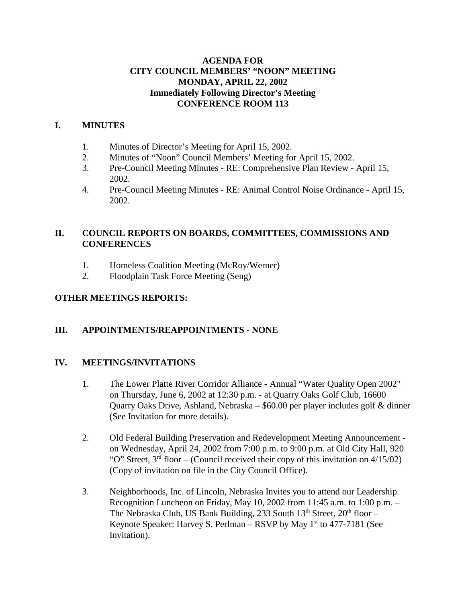#### **AGENDA FOR CITY COUNCIL MEMBERS' "NOON" MEETING MONDAY, APRIL 22, 2002 Immediately Following Director's Meeting CONFERENCE ROOM 113**

### **I. MINUTES**

- 1. Minutes of Director's Meeting for April 15, 2002.
- 2. Minutes of "Noon" Council Members' Meeting for April 15, 2002.
- 3. Pre-Council Meeting Minutes RE: Comprehensive Plan Review April 15, 2002.
- 4. Pre-Council Meeting Minutes RE: Animal Control Noise Ordinance April 15, 2002.

## **II. COUNCIL REPORTS ON BOARDS, COMMITTEES, COMMISSIONS AND CONFERENCES**

- 1. Homeless Coalition Meeting (McRoy/Werner)
- 2. Floodplain Task Force Meeting (Seng)

## **OTHER MEETINGS REPORTS:**

## **III. APPOINTMENTS/REAPPOINTMENTS - NONE**

## **IV. MEETINGS/INVITATIONS**

- 1. The Lower Platte River Corridor Alliance Annual "Water Quality Open 2002" on Thursday, June 6, 2002 at 12:30 p.m. - at Quarry Oaks Golf Club, 16600 Quarry Oaks Drive, Ashland, Nebraska – \$60.00 per player includes golf & dinner (See Invitation for more details).
- 2. Old Federal Building Preservation and Redevelopment Meeting Announcement on Wednesday, April 24, 2002 from 7:00 p.m. to 9:00 p.m. at Old City Hall, 920 "O" Street,  $3<sup>rd</sup>$  floor – (Council received their copy of this invitation on  $4/15/02$ ) (Copy of invitation on file in the City Council Office).
- 3. Neighborhoods, Inc. of Lincoln, Nebraska Invites you to attend our Leadership Recognition Luncheon on Friday, May 10, 2002 from 11:45 a.m. to 1:00 p.m. – The Nebraska Club, US Bank Building, 233 South  $13<sup>th</sup>$  Street,  $20<sup>th</sup>$  floor – Keynote Speaker: Harvey S. Perlman – RSVP by May  $1<sup>st</sup>$  to 477-7181 (See Invitation).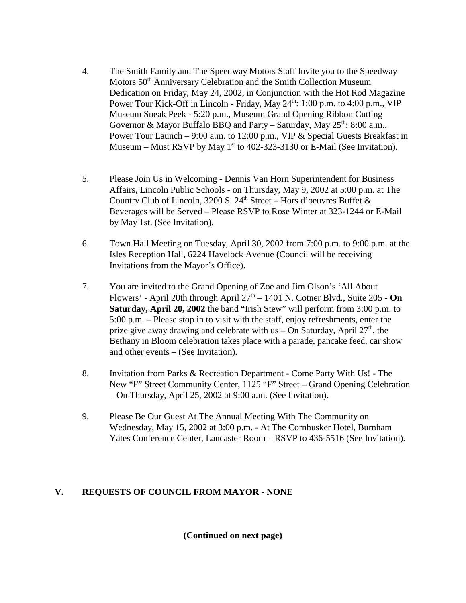- 4. The Smith Family and The Speedway Motors Staff Invite you to the Speedway Motors 50<sup>th</sup> Anniversary Celebration and the Smith Collection Museum Dedication on Friday, May 24, 2002, in Conjunction with the Hot Rod Magazine Power Tour Kick-Off in Lincoln - Friday, May  $24<sup>th</sup>$ : 1:00 p.m. to 4:00 p.m., VIP Museum Sneak Peek - 5:20 p.m., Museum Grand Opening Ribbon Cutting Governor & Mayor Buffalo BBQ and Party – Saturday, May  $25^{th}$ : 8:00 a.m., Power Tour Launch – 9:00 a.m. to 12:00 p.m., VIP & Special Guests Breakfast in Museum – Must RSVP by May  $1<sup>st</sup>$  to 402-323-3130 or E-Mail (See Invitation).
- 5. Please Join Us in Welcoming Dennis Van Horn Superintendent for Business Affairs, Lincoln Public Schools - on Thursday, May 9, 2002 at 5:00 p.m. at The Country Club of Lincoln, 3200 S.  $24<sup>th</sup>$  Street – Hors d'oeuvres Buffet & Beverages will be Served – Please RSVP to Rose Winter at 323-1244 or E-Mail by May 1st. (See Invitation).
- 6. Town Hall Meeting on Tuesday, April 30, 2002 from 7:00 p.m. to 9:00 p.m. at the Isles Reception Hall, 6224 Havelock Avenue (Council will be receiving Invitations from the Mayor's Office).
- 7. You are invited to the Grand Opening of Zoe and Jim Olson's 'All About Flowers' - April 20th through April  $27<sup>th</sup> - 1401$  N. Cotner Blvd., Suite 205 - **On Saturday, April 20, 2002** the band "Irish Stew" will perform from 3:00 p.m. to 5:00 p.m. – Please stop in to visit with the staff, enjoy refreshments, enter the prize give away drawing and celebrate with us  $-$  On Saturday, April 27<sup>th</sup>, the Bethany in Bloom celebration takes place with a parade, pancake feed, car show and other events – (See Invitation).
- 8. Invitation from Parks & Recreation Department Come Party With Us! The New "F" Street Community Center, 1125 "F" Street – Grand Opening Celebration – On Thursday, April 25, 2002 at 9:00 a.m. (See Invitation).
- 9. Please Be Our Guest At The Annual Meeting With The Community on Wednesday, May 15, 2002 at 3:00 p.m. - At The Cornhusker Hotel, Burnham Yates Conference Center, Lancaster Room – RSVP to 436-5516 (See Invitation).

## **V. REQUESTS OF COUNCIL FROM MAYOR - NONE**

**(Continued on next page)**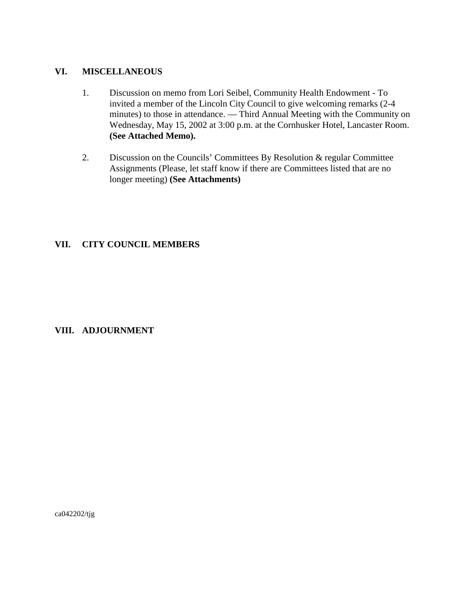#### **VI. MISCELLANEOUS**

- 1. Discussion on memo from Lori Seibel, Community Health Endowment To invited a member of the Lincoln City Council to give welcoming remarks (2-4 minutes) to those in attendance. — Third Annual Meeting with the Community on Wednesday, May 15, 2002 at 3:00 p.m. at the Cornhusker Hotel, Lancaster Room. **(See Attached Memo).**
- 2. Discussion on the Councils' Committees By Resolution & regular Committee Assignments (Please, let staff know if there are Committees listed that are no longer meeting) **(See Attachments)**

#### **VII. CITY COUNCIL MEMBERS**

#### **VIII. ADJOURNMENT**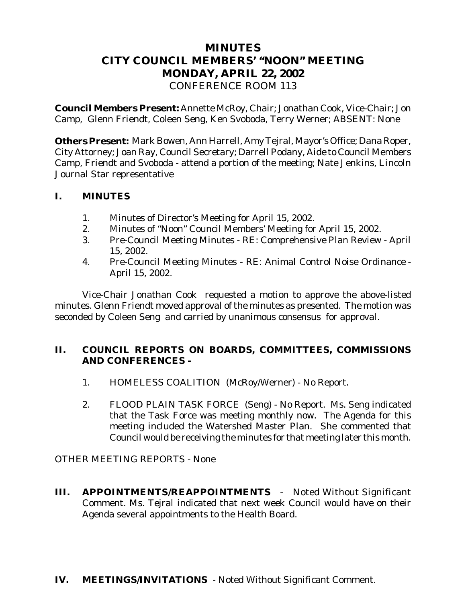# **MINUTES CITY COUNCIL MEMBERS' "NOON" MEETING MONDAY, APRIL 22, 2002**

*CONFERENCE ROOM 113*

**Council Members Present:** Annette McRoy, Chair; Jonathan Cook, Vice-Chair; Jon Camp, Glenn Friendt, Coleen Seng, Ken Svoboda, Terry Werner; ABSENT: None

**Others Present:** Mark Bowen, Ann Harrell, Amy Tejral, Mayor's Office; Dana Roper, City Attorney; Joan Ray, Council Secretary; Darrell Podany, Aide to Council Members Camp, Friendt and Svoboda - attend a portion of the meeting; Nate Jenkins, *Lincoln Journal Star* representative

## **I. MINUTES**

- 1. Minutes of Director's Meeting for April 15, 2002.
- 2. Minutes of "Noon" Council Members' Meeting for April 15, 2002.
- 3. Pre-Council Meeting Minutes RE: Comprehensive Plan Review April 15, 2002.
- 4. Pre-Council Meeting Minutes RE: Animal Control Noise Ordinance April 15, 2002.

Vice-Chair Jonathan Cook requested a motion to approve the above-listed minutes. Glenn Friendt moved approval of the minutes as presented. The motion was seconded by Coleen Seng and carried by unanimous consensus for approval.

### **II. COUNCIL REPORTS ON BOARDS, COMMITTEES, COMMISSIONS AND CONFERENCES -**

- 1. HOMELESS COALITION (McRoy/Werner) No Report.
- 2. FLOOD PLAIN TASK FORCE (Seng) No Report. Ms. Seng indicated that the Task Force was meeting monthly now. The Agenda for this meeting included the Watershed Master Plan. She commented that Council would be receiving the minutes for that meeting later this month.

OTHER MEETING REPORTS - None

**III. APPOINTMENTS/REAPPOINTMENTS** - Noted Without Significant Comment. Ms. Tejral indicated that next week Council would have on their Agenda several appointments to the Health Board.

#### **IV. MEETINGS/INVITATIONS** - Noted Without Significant Comment.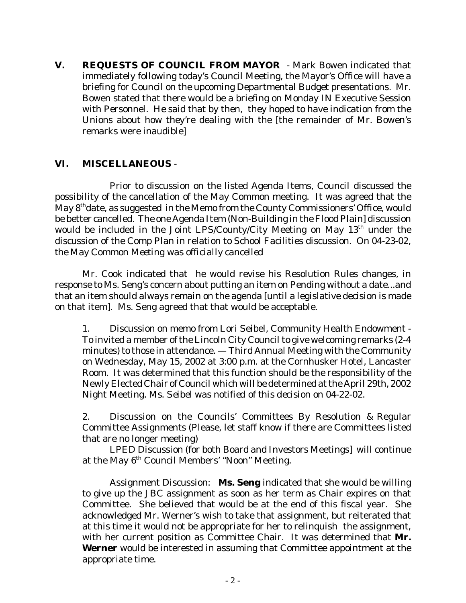**V. REQUESTS OF COUNCIL FROM MAYOR** - Mark Bowen indicated that immediately following today's Council Meeting, the Mayor's Office will have a briefing for Council on the upcoming Departmental Budget presentations. Mr. Bowen stated that there would be a briefing on Monday IN Executive Session with Personnel. He said that by then, they hoped to have indication from the Unions about how they're dealing with the [the remainder of Mr. Bowen's remarks were inaudible]

#### **VI. MISCELLANEOUS** -

Prior to discussion on the listed Agenda Items, Council discussed the possibility of the cancellation of the May Common meeting. It was agreed that the May 8<sup>th</sup>date, as suggested in the Memo from the County Commissioners' Office, would be better cancelled. The one Agenda Item (Non-Building in the Flood Plain] discussion would be included in the Joint LPS/County/City Meeting on May  $13<sup>th</sup>$  under the discussion of the Comp Plan in relation to School Facilities discussion. *On 04-23-02, the May Common Meeting was officially cancelled*

Mr. Cook indicated that he would revise his Resolution Rules changes, in response to Ms. Seng's concern about putting an item on Pending without a date...and that an item should always remain on the agenda [until a legislative decision is made on that item]. Ms. Seng agreed that that would be acceptable.

1. Discussion on memo from Lori Seibel, Community Health Endowment - To invited a member of the Lincoln City Council to give welcoming remarks (2-4 minutes) to those in attendance. — Third Annual Meeting with the Community on Wednesday, May 15, 2002 at 3:00 p.m. at the Cornhusker Hotel, Lancaster Room. It was determined that this function should be the responsibility of the Newly Elected Chair of Council which will be determined at the April 29th, 2002 Night Meeting. *Ms. Seibel was notified of this decision on 04-22-02.*

2. Discussion on the Councils' Committees By Resolution & Regular Committee Assignments (Please, let staff know if there are Committees listed that are no longer meeting)

LPED Discussion (for both Board and Investors Meetings] will continue at the May 6<sup>th</sup> Council Members' "Noon" Meeting.

Assignment Discussion: **Ms. Seng** indicated that she would be willing to give up the JBC assignment as soon as her term as Chair expires on that Committee. She believed that would be at the end of this fiscal year. She acknowledged Mr. Werner's wish to take that assignment, but reiterated that at this time it would not be appropriate for her to relinquish the assignment, with her current position as Committee Chair. It was determined that **Mr. Werner** would be interested in assuming that Committee appointment at the appropriate time.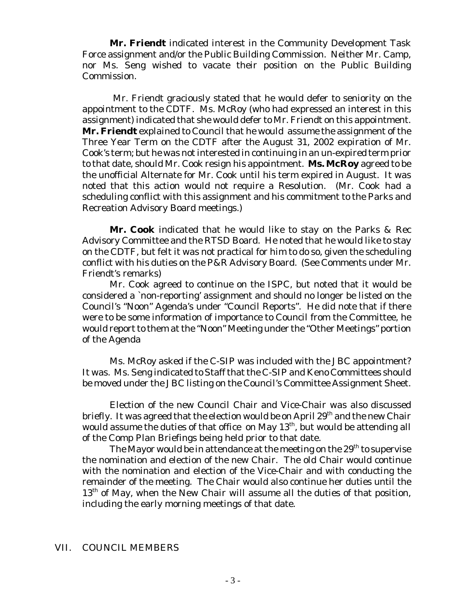**Mr. Friendt** indicated interest in the Community Development Task Force assignment and/or the Public Building Commission. Neither Mr. Camp, nor Ms. Seng wished to vacate their position on the Public Building Commission.

Mr. Friendt graciously stated that he would defer to seniority on the appointment to the CDTF. Ms. McRoy (who had expressed an interest in this assignment) indicated that she would defer to Mr. Friendt on this appointment. **Mr. Friendt** explained to Council that he would assume the assignment of the Three Year Term on the CDTF after the August 31, 2002 expiration of Mr. Cook's term; but he was not interested in continuing in an un-expired term prior to that date, should Mr. Cook resign his appointment. **Ms. McRoy** agreed to be the unofficial Alternate for Mr. Cook until his term expired in August. It was noted that this action would not require a Resolution. (Mr. Cook had a scheduling conflict with this assignment and his commitment to the Parks and Recreation Advisory Board meetings.)

**Mr. Cook** indicated that he would like to stay on the Parks & Rec Advisory Committee and the RTSD Board. He noted that he would like to stay on the CDTF, but felt it was not practical for him to do so, given the scheduling conflict with his duties on the P&R Advisory Board. (See Comments under Mr. Friendt's remarks)

Mr. Cook agreed to continue on the ISPC, but noted that it would be considered a `non-reporting' assignment and should no longer be listed on the Council's "Noon" Agenda's under "Council Reports". He did note that if there were to be some information of importance to Council from the Committee, he would report to them at the "Noon" Meeting under the "Other Meetings" portion of the Agenda

Ms. McRoy asked if the C-SIP was included with the JBC appointment? It was. Ms. Seng indicated to Staff that the C-SIP and Keno Committees should be moved under the JBC listing on the Council's Committee Assignment Sheet.

Election of the new Council Chair and Vice-Chair was also discussed briefly. It was agreed that the election would be on April  $29<sup>th</sup>$  and the new Chair would assume the duties of that office  $\,$  on May  $13^{\rm th}$ , but would be attending all of the Comp Plan Briefings being held prior to that date.

The Mayor would be in attendance at the meeting on the  $29<sup>th</sup>$  to supervise the nomination and election of the new Chair. The old Chair would continue with the nomination and election of the Vice-Chair and with conducting the remainder of the meeting. The Chair would also continue her duties until the  $13<sup>th</sup>$  of May, when the New Chair will assume all the duties of that position, including the early morning meetings of that date.

#### VII. COUNCIL MEMBERS